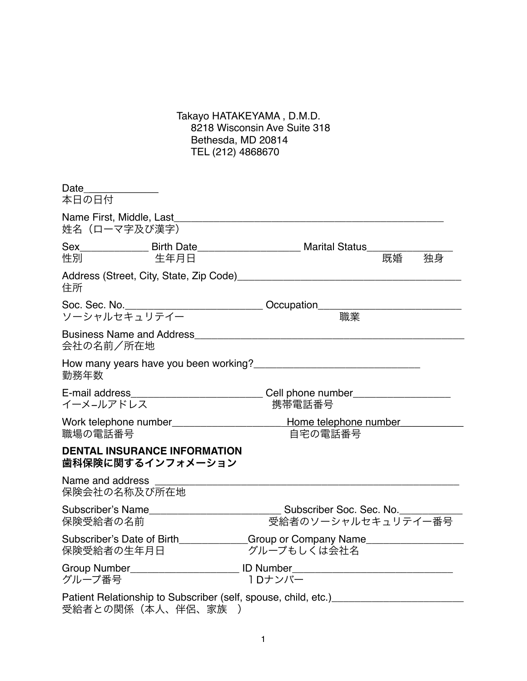## Takayo HATAKEYAMA , D.M.D. 8218 Wisconsin Ave Suite 318 Bethesda, MD 20814 TEL (212) 4868670

| Date_______________<br>本日の日付     |                                     |                                                                                                                                                                                                                                |    |    |
|----------------------------------|-------------------------------------|--------------------------------------------------------------------------------------------------------------------------------------------------------------------------------------------------------------------------------|----|----|
| 姓名(ローマ字及び漢字)                     |                                     | Name First, Middle, Last Name of the Second Second Second Second Second Second Second Second Second Second Second Second Second Second Second Second Second Second Second Second Second Second Second Second Second Second Sec |    |    |
| こうしょう 性別 いいしん                    | 生年月日                                | Sex Birth Date Marital Status                                                                                                                                                                                                  | 既婚 | 独身 |
| 住所                               |                                     |                                                                                                                                                                                                                                |    |    |
| ソーシャルセキュリテイー                     |                                     | 職業                                                                                                                                                                                                                             |    |    |
| 会社の名前/所在地                        |                                     |                                                                                                                                                                                                                                |    |    |
| 勤務年数                             |                                     | How many years have you been working?                                                                                                                                                                                          |    |    |
| イーメ–ルアドレス                        |                                     | E-mail address_______________________________Cell phone number__________________<br>携帯電話番号                                                                                                                                     |    |    |
| 職場の電話番号                          |                                     | Work telephone number___________________________Home telephone number<br>自宅の電話番号                                                                                                                                               |    |    |
| 歯科保険に関するインフォメーション                | <b>DENTAL INSURANCE INFORMATION</b> |                                                                                                                                                                                                                                |    |    |
| Name and address<br>保険会社の名称及び所在地 |                                     |                                                                                                                                                                                                                                |    |    |
| 保険受給者の名前                         |                                     | 受給者のソーシャルセキュリテイー番号                                                                                                                                                                                                             |    |    |
| 保険受給者の生年月日                       |                                     | Subscriber's Date of Birth Group or Company Name<br>グループもしくは会社名                                                                                                                                                                |    |    |
| グループ番号                           |                                     | Group Number_______________________________ ID Number____________________________<br>1Dナンバー                                                                                                                                    |    |    |
| 受給者との関係(本人、伴侶、家族                 | $\rightarrow$                       | Patient Relationship to Subscriber (self, spouse, child, etc.)                                                                                                                                                                 |    |    |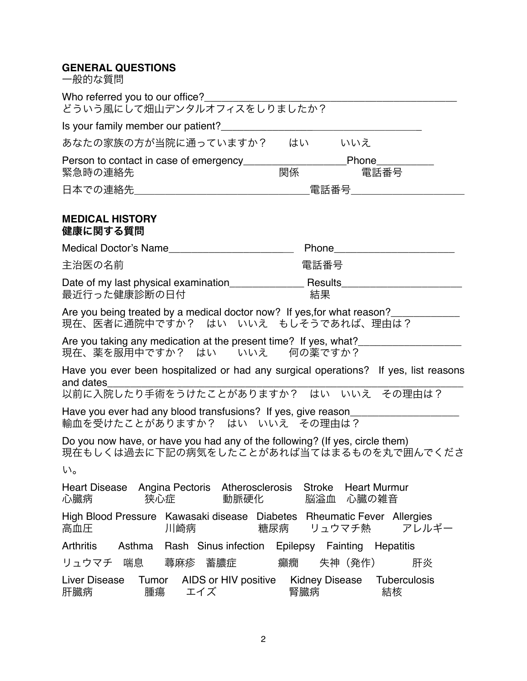## **GENERAL QUESTIONS**

一般的な質問

Who referred you to our office? どういう風にして畑山デンタルオフィスをしりましたか? Is your family member our patient? あなたの家族の方が当院に通っていますか? はい いいえ Person to contact in case of emergency\_\_\_\_\_\_\_\_\_\_\_\_\_\_\_\_\_\_Phone\_\_\_\_\_\_\_\_\_\_ 堅争時の連絡先 日本での連絡先\_\_\_\_\_\_\_\_\_\_\_\_\_\_\_\_\_\_\_\_\_\_\_\_\_\_\_\_\_\_\_\_\_\_\_電話番号 **MEDICAL HISTORY** 健康に関する質問 Medical Doctor's Name **Manual According to Phone** 主治医の名前 電話番号 Date of my last physical examination\_\_\_\_\_\_\_\_\_\_\_\_\_ Results\_\_\_\_\_\_\_\_\_\_\_\_\_\_\_\_\_\_\_\_\_ 最近行った健康診断の日付 Are you being treated by a medical doctor now? If yes for what reason? 現在、医者に通院中ですか? はい いいえ もしそうであれば、理由は? Are you taking any medication at the present time? If yes, what?<br>現在、薬を服用中ですか? はい いいえ 何の薬ですか? 現在、薬を服用中ですか? はい いいえ Have you ever been hospitalized or had any surgical operations? If yes, list reasons and dates and dates\_\_\_\_\_\_\_\_\_\_\_\_\_\_\_\_\_\_\_\_\_\_\_\_\_\_\_\_\_\_\_\_\_\_\_\_\_\_\_\_\_\_\_\_\_\_\_\_\_\_\_\_\_\_\_\_\_\_\_\_\_\_ 以前に入院したり手術をうけたことがありますか? はい いいえ その理由は? Have you ever had any blood transfusions? If yes, give reason\_ 輸血を受けたことがありますか? はい いいえ その理由は? Do you now have, or have you had any of the following? (If yes, circle them) 現在もしくは過去に下記の病気をしたことがあれば当てはまるものを丸で囲んでくださ い。 Heart Disease Angina Pectoris Atherosclerosis Stroke Heart Murmur<br>心臓病 狭心症 動脈硬化 脳溢血 心臓の雑音 心臓病 狭心症 動脈硬化 脳溢血 心臓の雑音 High Blood Pressure Kawasaki disease Diabetes Rheumatic Fever Allergies<br>高血圧 | 川崎病 | 梅尿病 リュウマチ熱 アレルギー リュウマチ熱 Arthritis Asthma Rash Sinus infection Epilepsy Fainting Hepatitis リュウマチ 喘息 蕁麻疹 蓄膿症 癲癇 失神(発作) 肝炎 Liver Disease Tumor AIDS or HIV positive Kidney Disease Tuberculosis 肝臓病 腫瘍 エイズ 腎臓病 結核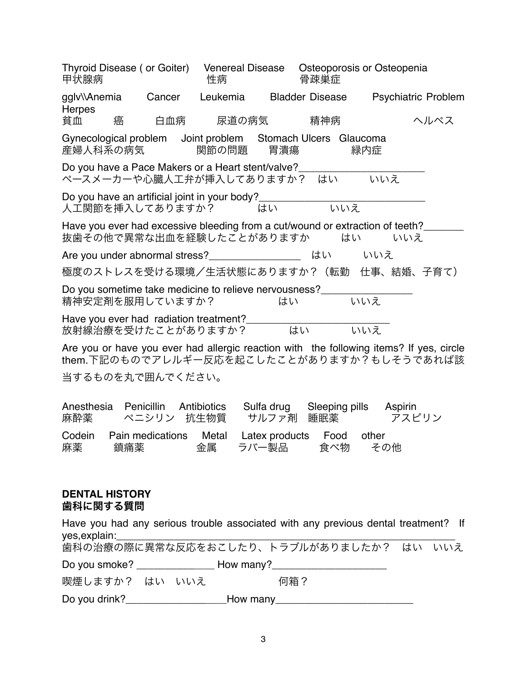| Thyroid Disease (or Goiter)<br>甲状腺病 |            |                  | Venereal Disease<br>性病                                                               |                         | 骨疎巣症                  | Osteoporosis or Osteopenia                                                             |                                                                                                                                      |
|-------------------------------------|------------|------------------|--------------------------------------------------------------------------------------|-------------------------|-----------------------|----------------------------------------------------------------------------------------|--------------------------------------------------------------------------------------------------------------------------------------|
| qqlv\\Anemia<br>Herpes              |            | Cancer           | Leukemia                                                                             |                         |                       |                                                                                        | Bladder Disease Psychiatric Problem                                                                                                  |
| 貧血                                  | 癌          | 白血病              | 尿道の病気                                                                                |                         | 精神病                   |                                                                                        | ヘルペス                                                                                                                                 |
| 産婦人科系の病気                            |            |                  | Gynecological problem Joint problem Stomach Ulcers Glaucoma<br>関節の問題                 | 胃清瘍                     |                       | 緑内症                                                                                    |                                                                                                                                      |
|                                     |            |                  | Do you have a Pace Makers or a Heart stent/valve?<br>ペースメーカーや心臓人工弁が挿入してありますか? はい いいえ |                         |                       |                                                                                        |                                                                                                                                      |
| 人工関節を挿入してありますか?                     |            |                  |                                                                                      | はい                      | いいえ                   | Do you have an artificial joint in your body?___________________________________       |                                                                                                                                      |
|                                     |            |                  | 抜歯その他で異常な出血を経験したことがありますか                                                             |                         |                       | Have you ever had excessive bleeding from a cut/wound or extraction of teeth?___<br>はい | いいえ                                                                                                                                  |
|                                     |            |                  | Are you under abnormal stress?                                                       |                         |                       | はい いいえ                                                                                 |                                                                                                                                      |
|                                     |            |                  |                                                                                      |                         |                       | 極度のストレスを受ける環境/生活状態にありますか?(転勤 仕事、結婚、子育て)                                                |                                                                                                                                      |
| 精神安定剤を服用していますか?                     |            |                  | Do you sometime take medicine to relieve nervousness?                                | はい                      |                       | いいえ                                                                                    |                                                                                                                                      |
|                                     |            |                  | Have you ever had radiation treatment?<br>放射線治療を受けたことがありますか? はい いいえ                  |                         |                       |                                                                                        |                                                                                                                                      |
|                                     |            |                  |                                                                                      |                         |                       |                                                                                        | Are you or have you ever had allergic reaction with the following items? If yes, circle<br>them.下記のものでアレルギー反応を起こしたことがありますか?もしそうであれば該 |
| 当するものを丸で囲んでください。                    |            |                  |                                                                                      |                         |                       |                                                                                        |                                                                                                                                      |
| Anesthesia<br>麻酔薬                   | Penicillin | ペニシリン            | Antibiotics<br>抗生物質                                                                  | Sulfa drug<br>サルファ剤     | Sleeping pills<br>睡眠薬 | Aspirin                                                                                | アスピリン                                                                                                                                |
| Codein<br>麻薬                        | 鎮痛薬        | Pain medications | Metal<br>金属                                                                          | Latex products<br>ラバー製品 | Food<br>食べ物           | other<br>その他                                                                           |                                                                                                                                      |
|                                     |            |                  |                                                                                      |                         |                       |                                                                                        |                                                                                                                                      |

## **DENTAL HISTORY** 歯科に関する質問

|                |  | Have you had any serious trouble associated with any previous dental treatment? If                                                                                                                                             |  |
|----------------|--|--------------------------------------------------------------------------------------------------------------------------------------------------------------------------------------------------------------------------------|--|
|                |  | 歯科の治療の際に異常な反応をおこしたり、トラブルがありましたか? はい いいえ                                                                                                                                                                                        |  |
|                |  |                                                                                                                                                                                                                                |  |
| 喫煙しますか? はい いいえ |  | 何箱?                                                                                                                                                                                                                            |  |
| Do you drink?  |  | How many the contract of the contract of the contract of the contract of the contract of the contract of the contract of the contract of the contract of the contract of the contract of the contract of the contract of the c |  |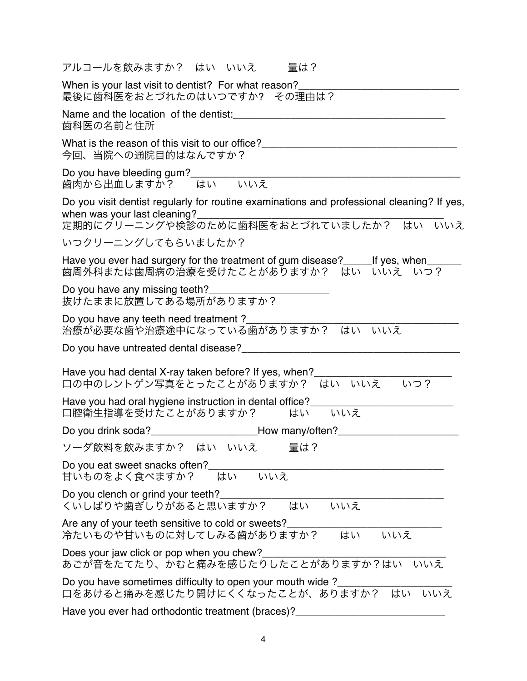| アルコールを飲みますか? はい いいえ<br>暈は?                                                                                                                                            |
|-----------------------------------------------------------------------------------------------------------------------------------------------------------------------|
| When is your last visit to dentist? For what reason?<br>最後に歯科医をおとづれたのはいつですか? その理由は?                                                                                   |
| Name and the location of the dentist:<br>歯科医の名前と住所                                                                                                                    |
| What is the reason of this visit to our office?<br>今回、当院への通院目的はなんですか?                                                                                                 |
| Do you have bleeding gum?<br>いいえ<br>歯肉から出血しますか?<br>はい                                                                                                                 |
| Do you visit dentist regularly for routine examinations and professional cleaning? If yes,<br>when was your last cleaning?<br>定期的にクリーニングや検診のために歯科医をおとづれていましたか? はい いいえ |
| いつクリーニングしてもらいましたか?                                                                                                                                                    |
| Have you ever had surgery for the treatment of gum disease?______ If yes, when__<br>歯周外科または歯周病の治療を受けたことがありますか? はい いいえ いつ?                                             |
| Do you have any missing teeth?<br>抜けたままに放置してある場所がありますか?                                                                                                               |
| Do you have any teeth need treatment?<br>治療が必要な歯や治療途中になっている歯がありますか? はい<br>いいえ                                                                                         |
| Do you have untreated dental disease?<br>The manufacturer and the manufacturer and the manufacturer and the manufacturer and the manufacturer and the m               |
| Have you had dental X-ray taken before? If yes, when?<br>口の中のレントゲン写真をとったことがありますか? はい いいえ いつ?                                                                          |
| Have you had oral hygiene instruction in dental office?<br>口腔衛生指導を受けたことがありますか?<br>いいえ<br>はい                                                                           |
| Do you drink soda? ____________________________How many/often?                                                                                                        |
| ソーダ飲料を飲みますか? はい いいえ<br>量は?                                                                                                                                            |
| Do you eat sweet snacks often?_<br>甘いものをよく食べますか? はい いいえ                                                                                                               |
| Do you clench or grind your teeth?_<br>くいしばりや歯ぎしりがあると思いますか? はい<br>いいえ                                                                                                 |
| Are any of your teeth sensitive to cold or sweets?<br>冷たいものや甘いものに対してしみる歯がありますか? はい<br>いいえ                                                                             |
| Does your jaw click or pop when you chew?<br>あごが音をたてたり、かむと痛みを感じたりしたことがありますか?はい いいえ                                                                                    |
| Do you have sometimes difficulty to open your mouth wide?<br>口をあけると痛みを感じたり開けにくくなったことが、ありますか? はい いいえ                                                                   |
| Have you ever had orthodontic treatment (braces)?                                                                                                                     |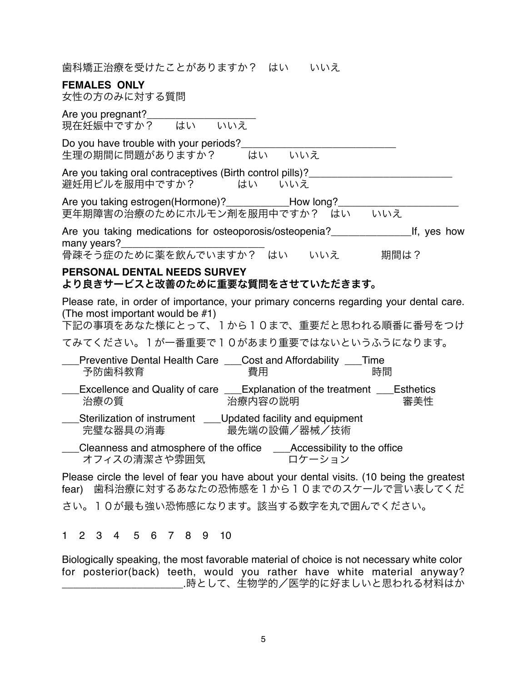歯科矯正治療を受けたことがありますか? はい いいえ

## **FEMALES ONLY**

女性の方のみに対する質問

| Are you pregnant?<br>現在妊娠中ですか? はい いいえ                                                                                                                                 |
|-----------------------------------------------------------------------------------------------------------------------------------------------------------------------|
| Do you have trouble with your periods?<br>はい いいえ<br>牛理の期間に問題がありますか?                                                                                                   |
| Are you taking oral contraceptives (Birth control pills)?_________________<br>避妊用ピルを服用中ですか? はい いいえ                                                                    |
| Are you taking estrogen(Hormone)? _______________How long?<br>更年期障害の治療のためにホルモン剤を服用中ですか? はい いいえ                                                                        |
| Are you taking medications for osteoporosis/osteopenia? The lf, yes how<br>many years?<br>骨疎そう症のために薬を飲んでいますか? はい<br>いいえ 期間は?                                          |
| PERSONAL DENTAL NEEDS SURVEY<br>より良きサービスと改善のために重要な質問をさせていただきます。                                                                                                       |
| Please rate, in order of importance, your primary concerns regarding your dental care.<br>(The most important would be #1)<br>下記の事項をあなた様にとって、1から10まで、重要だと思われる順番に番号をつけ |
| てみてください。1が一番重要で10があまり重要ではないというふうになります。                                                                                                                                |
| Preventive Dental Health Care Cost and Affordability Time<br>予防歯科教育<br>書用<br>時間                                                                                       |
| Excellence and Quality of care Explanation of the treatment Esthetics<br>治療の質<br>治療内容の説明<br>審美性                                                                       |
| Sterilization of instrument ____ Updated facility and equipment<br>完璧な器具の消毒<br>最先端の設備/器械/技術                                                                           |
| __Cleanness and atmosphere of the office ____Accessibility to the office<br>オフィスの清潔さや雰囲気<br>ロケーション                                                                    |
| Please circle the level of fear you have about your dental visits. (10 being the greatest<br>歯科治療に対するあなたの恐怖感を1から10までのスケールで言い表してくだ<br>fear)                            |
| さい。10が最も強い恐怖感になります。該当する数字を丸で囲んでください。                                                                                                                                  |

1 2 3 4 5 6 7 8 9 10

Biologically speaking, the most favorable material of choice is not necessary white color for posterior(back) teeth, would you rather have white material anyway? \_\_\_\_\_\_\_\_\_\_\_\_\_\_\_\_\_\_\_\_\_.時として、生物学的/医学的に好ましいと思われる材料はか